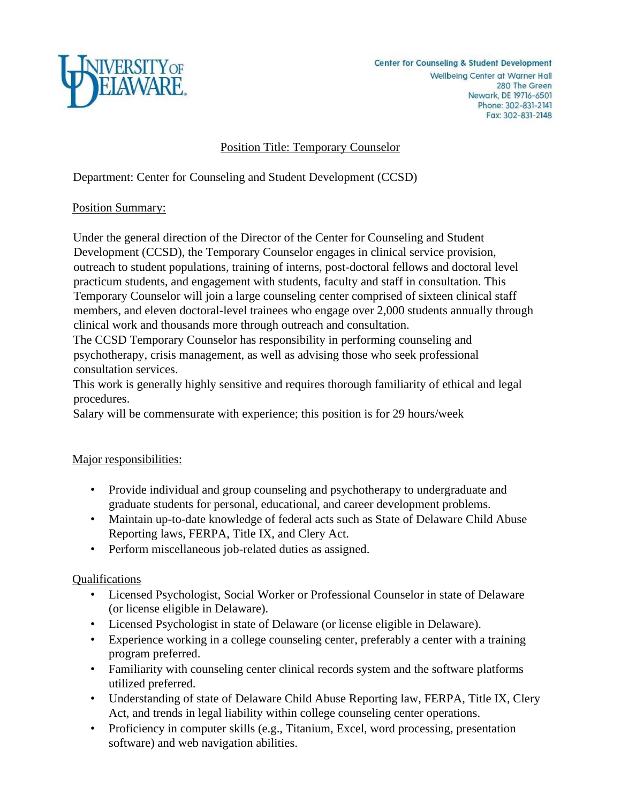

# Position Title: Temporary Counselor

Department: Center for Counseling and Student Development (CCSD)

#### Position Summary:

Under the general direction of the Director of the Center for Counseling and Student Development (CCSD), the Temporary Counselor engages in clinical service provision, outreach to student populations, training of interns, post-doctoral fellows and doctoral level practicum students, and engagement with students, faculty and staff in consultation. This Temporary Counselor will join a large counseling center comprised of sixteen clinical staff members, and eleven doctoral-level trainees who engage over 2,000 students annually through clinical work and thousands more through outreach and consultation.

The CCSD Temporary Counselor has responsibility in performing counseling and psychotherapy, crisis management, as well as advising those who seek professional consultation services.

This work is generally highly sensitive and requires thorough familiarity of ethical and legal procedures.

Salary will be commensurate with experience; this position is for 29 hours/week

## Major responsibilities:

- Provide individual and group counseling and psychotherapy to undergraduate and graduate students for personal, educational, and career development problems.
- Maintain up-to-date knowledge of federal acts such as State of Delaware Child Abuse Reporting laws, FERPA, Title IX, and Clery Act.
- Perform miscellaneous job-related duties as assigned.

## Qualifications

- Licensed Psychologist, Social Worker or Professional Counselor in state of Delaware (or license eligible in Delaware).
- Licensed Psychologist in state of Delaware (or license eligible in Delaware).
- Experience working in a college counseling center, preferably a center with a training program preferred.
- Familiarity with counseling center clinical records system and the software platforms utilized preferred.
- Understanding of state of Delaware Child Abuse Reporting law, FERPA, Title IX, Clery Act, and trends in legal liability within college counseling center operations.
- Proficiency in computer skills (e.g., Titanium, Excel, word processing, presentation software) and web navigation abilities.